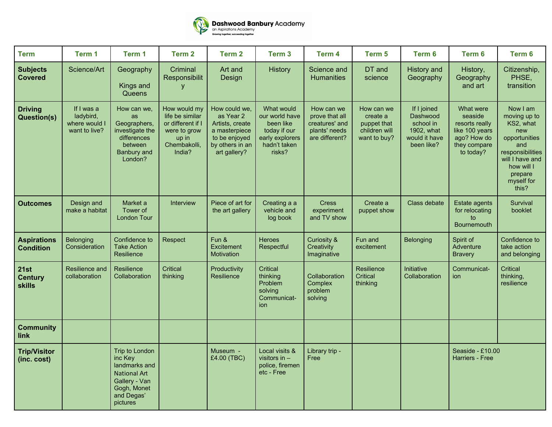

| <b>Term</b>                                    | Term 1                                                    | Term 1                                                                                                                      | Term <sub>2</sub>                                                                                       | Term <sub>2</sub>                                                                                                  | Term 3                                                                                                 | Term 4                                                                            | Term 5                                                                 | Term 6                                                                            | Term 6                                                                                               | Term 6                                                                                                                                                      |
|------------------------------------------------|-----------------------------------------------------------|-----------------------------------------------------------------------------------------------------------------------------|---------------------------------------------------------------------------------------------------------|--------------------------------------------------------------------------------------------------------------------|--------------------------------------------------------------------------------------------------------|-----------------------------------------------------------------------------------|------------------------------------------------------------------------|-----------------------------------------------------------------------------------|------------------------------------------------------------------------------------------------------|-------------------------------------------------------------------------------------------------------------------------------------------------------------|
| <b>Subjects</b><br><b>Covered</b>              | Science/Art                                               | Geography<br>Kings and<br>Queens                                                                                            | Criminal<br>Responsibilit<br><b>V</b>                                                                   | Art and<br>Design                                                                                                  | <b>History</b>                                                                                         | Science and<br><b>Humanities</b>                                                  | DT and<br>science                                                      | <b>History</b> and<br>Geography                                                   | History,<br>Geography<br>and art                                                                     | Citizenship,<br>PHSE,<br>transition                                                                                                                         |
| <b>Driving</b><br><b>Question(s)</b>           | If I was a<br>ladybird,<br>where would I<br>want to live? | How can we,<br>as<br>Geographers,<br>investigate the<br>differences<br>between<br><b>Banbury and</b><br>London?             | How would my<br>life be similar<br>or different if I<br>were to grow<br>up in<br>Chembakolli,<br>India? | How could we,<br>as Year 2<br>Artists, create<br>a masterpiece<br>to be enjoyed<br>by others in an<br>art gallery? | What would<br>our world have<br>been like<br>today if our<br>early explorers<br>hadn't taken<br>risks? | How can we<br>prove that all<br>creatures' and<br>plants' needs<br>are different? | How can we<br>create a<br>puppet that<br>children will<br>want to buy? | If I joined<br>Dashwood<br>school in<br>1902, what<br>would it have<br>been like? | What were<br>seaside<br>resorts really<br>like 100 years<br>ago? How do<br>they compare<br>to today? | Now I am<br>moving up to<br>KS2, what<br>new<br>opportunities<br>and<br>responsibilities<br>will I have and<br>how will I<br>prepare<br>myself for<br>this? |
| <b>Outcomes</b>                                | Design and<br>make a habitat                              | Market a<br>Tower of<br>London Tour                                                                                         | Interview                                                                                               | Piece of art for<br>the art gallery                                                                                | Creating a a<br>vehicle and<br>log book                                                                | <b>Cress</b><br>experiment<br>and TV show                                         | Create a<br>puppet show                                                | Class debate                                                                      | Estate agents<br>for relocating<br>to<br><b>Bournemouth</b>                                          | Survival<br>booklet                                                                                                                                         |
| <b>Aspirations</b><br><b>Condition</b>         | <b>Belonging</b><br>Consideration                         | Confidence to<br><b>Take Action</b><br>Resilience                                                                           | Respect                                                                                                 | Fun &<br>Excitement<br>Motivation                                                                                  | <b>Heroes</b><br>Respectful                                                                            | <b>Curiosity &amp;</b><br>Creativity<br>Imaginative                               | Fun and<br>excitement                                                  | Belonging                                                                         | Spirit of<br>Adventure<br><b>Bravery</b>                                                             | Confidence to<br>take action<br>and belonging                                                                                                               |
| <b>21st</b><br><b>Century</b><br><b>skills</b> | <b>Resilience and</b><br>collaboration                    | <b>Resilience</b><br>Collaboration                                                                                          | Critical<br>thinking                                                                                    | Productivity<br>Resilience                                                                                         | Critical<br>thinking<br>Problem<br>solving<br>Communicat-<br>ion                                       | Collaboration<br>Complex<br>problem<br>solving                                    | Resilience<br><b>Critical</b><br>thinking                              | <b>Initiative</b><br>Collaboration                                                | Communicat-<br>ion                                                                                   | <b>Critical</b><br>thinking,<br>resilience                                                                                                                  |
| <b>Community</b><br>link                       |                                                           |                                                                                                                             |                                                                                                         |                                                                                                                    |                                                                                                        |                                                                                   |                                                                        |                                                                                   |                                                                                                      |                                                                                                                                                             |
| <b>Trip/Visitor</b><br>(inc. cost)             |                                                           | Trip to London<br>inc Key<br>landmarks and<br><b>National Art</b><br>Gallery - Van<br>Gogh, Monet<br>and Degas'<br>pictures |                                                                                                         | Museum -<br>£4.00 (TBC)                                                                                            | Local visits &<br>visitors in $-$<br>police, firemen<br>etc - Free                                     | Library trip -<br>Free                                                            |                                                                        |                                                                                   | Seaside - £10.00<br>Harriers - Free                                                                  |                                                                                                                                                             |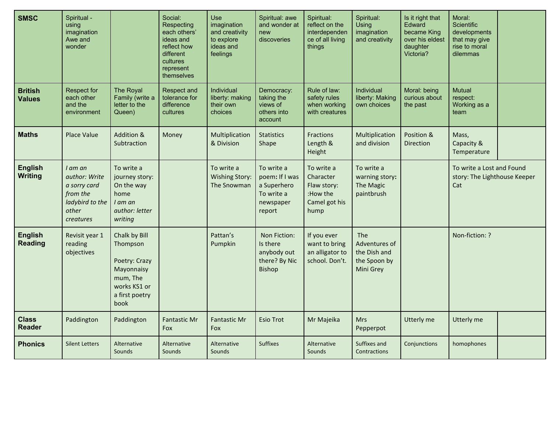| <b>SMSC</b>                      | Spiritual -<br>using<br>imagination<br>Awe and<br>wonder                                      |                                                                                                                | Social:<br>Respecting<br>each others'<br>ideas and<br>reflect how<br>different<br>cultures<br>represent<br>themselves | <b>Use</b><br>imagination<br>and creativity<br>to explore<br>ideas and<br>feelings | Spiritual: awe<br>and wonder at<br>new<br>discoveries                            | Spiritual:<br>reflect on the<br>interdependen<br>ce of all living<br>things | Spiritual:<br>Using<br>imagination<br>and creativity                     | Is it right that<br>Edward<br>became King<br>over his eldest<br>daughter<br>Victoria? | Moral:<br>Scientific<br>developments<br>that may give<br>rise to moral<br>dilemmas |  |
|----------------------------------|-----------------------------------------------------------------------------------------------|----------------------------------------------------------------------------------------------------------------|-----------------------------------------------------------------------------------------------------------------------|------------------------------------------------------------------------------------|----------------------------------------------------------------------------------|-----------------------------------------------------------------------------|--------------------------------------------------------------------------|---------------------------------------------------------------------------------------|------------------------------------------------------------------------------------|--|
| <b>British</b><br><b>Values</b>  | <b>Respect for</b><br>each other<br>and the<br>environment                                    | The Royal<br>Family (write a<br>letter to the<br>Queen)                                                        | Respect and<br>tolerance for<br>difference<br>cultures                                                                | Individual<br>liberty: making<br>their own<br>choices                              | Democracy:<br>taking the<br>views of<br>others into<br>account                   | Rule of law:<br>safety rules<br>when working<br>with creatures              | Individual<br>liberty: Making<br>own choices                             | Moral: being<br>curious about<br>the past                                             | <b>Mutual</b><br>respect:<br>Working as a<br>team                                  |  |
| <b>Maths</b>                     | <b>Place Value</b>                                                                            | Addition &<br>Subtraction                                                                                      | Money                                                                                                                 | Multiplication<br>& Division                                                       | <b>Statistics</b><br>Shape                                                       | <b>Fractions</b><br>Length &<br>Height                                      | Multiplication<br>and division                                           | Position &<br><b>Direction</b>                                                        | Mass,<br>Capacity &<br>Temperature                                                 |  |
| <b>English</b><br><b>Writing</b> | I am an<br>author: Write<br>a sorry card<br>from the<br>ladybird to the<br>other<br>creatures | To write a<br>journey story:<br>On the way<br>home<br>$I$ am an<br>author: letter<br>writing                   |                                                                                                                       | To write a<br><b>Wishing Story:</b><br>The Snowman                                 | To write a<br>poem: If I was<br>a Superhero<br>To write a<br>newspaper<br>report | To write a<br>Character<br>Flaw story:<br>:How the<br>Camel got his<br>hump | To write a<br>warning story:<br>The Magic<br>paintbrush                  |                                                                                       | To write a Lost and Found<br>story: The Lighthouse Keeper<br>Cat                   |  |
| <b>English</b><br><b>Reading</b> | Revisit year 1<br>reading<br>objectives                                                       | Chalk by Bill<br>Thompson<br>Poetry: Crazy<br>Mayonnaisy<br>mum, The<br>works KS1 or<br>a first poetry<br>book |                                                                                                                       | Pattan's<br>Pumpkin                                                                | Non Fiction:<br>Is there<br>anybody out<br>there? By Nic<br><b>Bishop</b>        | If you ever<br>want to bring<br>an alligator to<br>school. Don't.           | <b>The</b><br>Adventures of<br>the Dish and<br>the Spoon by<br>Mini Grey |                                                                                       | Non-fiction: ?                                                                     |  |
| <b>Class</b><br><b>Reader</b>    | Paddington                                                                                    | Paddington                                                                                                     | <b>Fantastic Mr</b><br><b>Fox</b>                                                                                     | <b>Fantastic Mr</b><br>Fox                                                         | <b>Esio Trot</b>                                                                 | Mr Majeika                                                                  | <b>Mrs</b><br>Pepperpot                                                  | Utterly me                                                                            | Utterly me                                                                         |  |
| <b>Phonics</b>                   | <b>Silent Letters</b>                                                                         | Alternative<br>Sounds                                                                                          | Alternative<br>Sounds                                                                                                 | Alternative<br>Sounds                                                              | <b>Suffixes</b>                                                                  | Alternative<br>Sounds                                                       | Suffixes and<br>Contractions                                             | Conjunctions                                                                          | homophones                                                                         |  |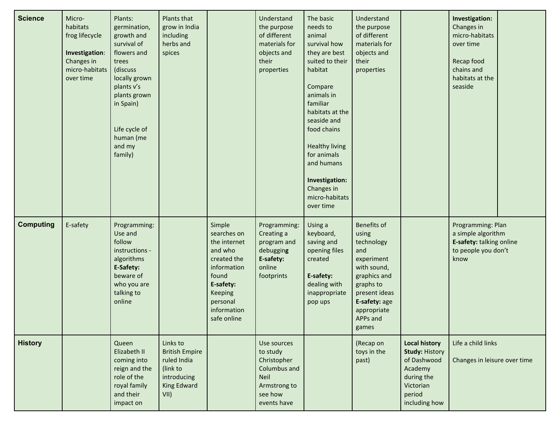| <b>Science</b>   | Micro-<br>habitats<br>frog lifecycle<br>Investigation:<br>Changes in<br>micro-habitats<br>over time | Plants:<br>germination,<br>growth and<br>survival of<br>flowers and<br>trees<br>(discuss<br>locally grown<br>plants v's<br>plants grown<br>in Spain)<br>Life cycle of<br>human (me<br>and my<br>family) | Plants that<br>grow in India<br>including<br>herbs and<br>spices                                   |                                                                                                                                                                  | Understand<br>the purpose<br>of different<br>materials for<br>objects and<br>their<br>properties                | The basic<br>needs to<br>animal<br>survival how<br>they are best<br>suited to their<br>habitat<br>Compare<br>animals in<br>familiar<br>habitats at the<br>seaside and<br>food chains<br><b>Healthy living</b><br>for animals<br>and humans<br>Investigation:<br>Changes in<br>micro-habitats<br>over time | Understand<br>the purpose<br>of different<br>materials for<br>objects and<br>their<br>properties                                                                                 |                                                                                                                               | Investigation:<br>Changes in<br>micro-habitats<br>over time<br>Recap food<br>chains and<br>habitats at the<br>seaside |
|------------------|-----------------------------------------------------------------------------------------------------|---------------------------------------------------------------------------------------------------------------------------------------------------------------------------------------------------------|----------------------------------------------------------------------------------------------------|------------------------------------------------------------------------------------------------------------------------------------------------------------------|-----------------------------------------------------------------------------------------------------------------|-----------------------------------------------------------------------------------------------------------------------------------------------------------------------------------------------------------------------------------------------------------------------------------------------------------|----------------------------------------------------------------------------------------------------------------------------------------------------------------------------------|-------------------------------------------------------------------------------------------------------------------------------|-----------------------------------------------------------------------------------------------------------------------|
| <b>Computing</b> | E-safety                                                                                            | Programming:<br>Use and<br>follow<br>instructions -<br>algorithms<br>E-Safety:<br>beware of<br>who you are<br>talking to<br>online                                                                      |                                                                                                    | Simple<br>searches on<br>the internet<br>and who<br>created the<br>information<br>found<br>E-safety:<br><b>Keeping</b><br>personal<br>information<br>safe online | Programming:<br>Creating a<br>program and<br>debugging<br>E-safety:<br>online<br>footprints                     | Using a<br>keyboard,<br>saving and<br>opening files<br>created<br>E-safety:<br>dealing with<br>inappropriate<br>pop ups                                                                                                                                                                                   | <b>Benefits of</b><br>using<br>technology<br>and<br>experiment<br>with sound,<br>graphics and<br>graphs to<br>present ideas<br>E-safety: age<br>appropriate<br>APPs and<br>games |                                                                                                                               | Programming: Plan<br>a simple algorithm<br>E-safety: talking online<br>to people you don't<br>know                    |
| <b>History</b>   |                                                                                                     | Queen<br>Elizabeth II<br>coming into<br>reign and the<br>role of the<br>royal family<br>and their<br>impact on                                                                                          | Links to<br><b>British Empire</b><br>ruled India<br>(link to<br>introducing<br>King Edward<br>VII) |                                                                                                                                                                  | Use sources<br>to study<br>Christopher<br>Columbus and<br><b>Neil</b><br>Armstrong to<br>see how<br>events have |                                                                                                                                                                                                                                                                                                           | (Recap on<br>toys in the<br>past)                                                                                                                                                | <b>Local history</b><br><b>Study: History</b><br>of Dashwood<br>Academy<br>during the<br>Victorian<br>period<br>including how | Life a child links<br>Changes in leisure over time                                                                    |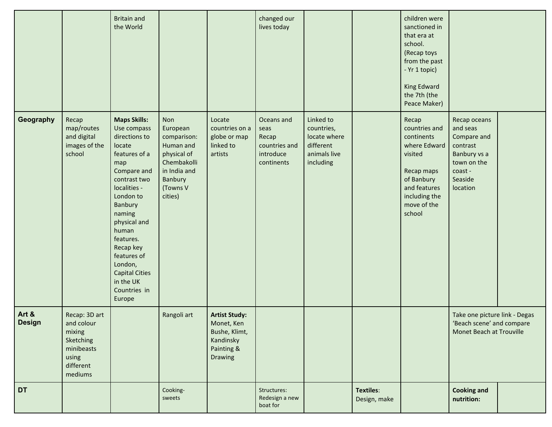|                        |                                                                                                   | <b>Britain and</b><br>the World                                                                                                                                                                                                                                                                                     |                                                                                                                             |                                                                                           | changed our<br>lives today                                              |                                                                                   |                           | children were<br>sanctioned in<br>that era at<br>school.<br>(Recap toys<br>from the past<br>- Yr 1 topic)<br>King Edward<br>the 7th (the<br>Peace Maker) |                                                                                                                      |  |
|------------------------|---------------------------------------------------------------------------------------------------|---------------------------------------------------------------------------------------------------------------------------------------------------------------------------------------------------------------------------------------------------------------------------------------------------------------------|-----------------------------------------------------------------------------------------------------------------------------|-------------------------------------------------------------------------------------------|-------------------------------------------------------------------------|-----------------------------------------------------------------------------------|---------------------------|----------------------------------------------------------------------------------------------------------------------------------------------------------|----------------------------------------------------------------------------------------------------------------------|--|
| Geography              | Recap<br>map/routes<br>and digital<br>images of the<br>school                                     | <b>Maps Skills:</b><br>Use compass<br>directions to<br>locate<br>features of a<br>map<br>Compare and<br>contrast two<br>localities -<br>London to<br>Banbury<br>naming<br>physical and<br>human<br>features.<br>Recap key<br>features of<br>London,<br><b>Capital Cities</b><br>in the UK<br>Countries in<br>Europe | Non<br>European<br>comparison:<br>Human and<br>physical of<br>Chembakolli<br>in India and<br>Banbury<br>(Towns V<br>cities) | Locate<br>countries on a<br>globe or map<br>linked to<br>artists                          | Oceans and<br>seas<br>Recap<br>countries and<br>introduce<br>continents | Linked to<br>countries,<br>locate where<br>different<br>animals live<br>including |                           | Recap<br>countries and<br>continents<br>where Edward<br>visited<br>Recap maps<br>of Banbury<br>and features<br>including the<br>move of the<br>school    | Recap oceans<br>and seas<br>Compare and<br>contrast<br>Banbury vs a<br>town on the<br>coast -<br>Seaside<br>location |  |
| Art &<br><b>Design</b> | Recap: 3D art<br>and colour<br>mixing<br>Sketching<br>minibeasts<br>using<br>different<br>mediums |                                                                                                                                                                                                                                                                                                                     | Rangoli art                                                                                                                 | <b>Artist Study:</b><br>Monet, Ken<br>Bushe, Klimt,<br>Kandinsky<br>Painting &<br>Drawing |                                                                         |                                                                                   |                           |                                                                                                                                                          | Take one picture link - Degas<br>'Beach scene' and compare<br>Monet Beach at Trouville                               |  |
| DT                     |                                                                                                   |                                                                                                                                                                                                                                                                                                                     | Cooking-<br>sweets                                                                                                          |                                                                                           | Structures:<br>Redesign a new<br>boat for                               |                                                                                   | Textiles:<br>Design, make |                                                                                                                                                          | <b>Cooking and</b><br>nutrition:                                                                                     |  |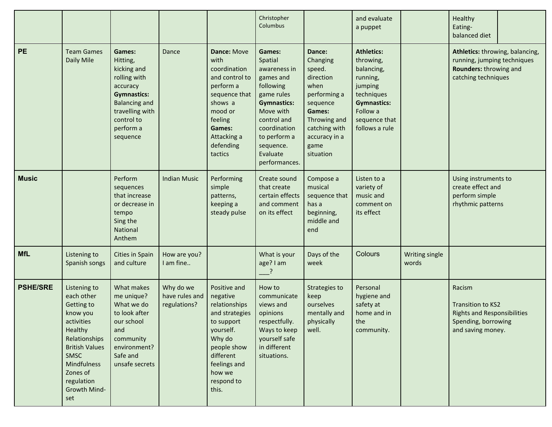|                 |                                                                                                                                                                                                        |                                                                                                                                                                       |                                             |                                                                                                                                                                               | Christopher<br>Columbus                                                                                                                                                                               |                                                                                                                                                                | and evaluate<br>a puppet                                                                                                                               |                                | Healthy<br>Eating-<br>balanced diet                                                                                  |
|-----------------|--------------------------------------------------------------------------------------------------------------------------------------------------------------------------------------------------------|-----------------------------------------------------------------------------------------------------------------------------------------------------------------------|---------------------------------------------|-------------------------------------------------------------------------------------------------------------------------------------------------------------------------------|-------------------------------------------------------------------------------------------------------------------------------------------------------------------------------------------------------|----------------------------------------------------------------------------------------------------------------------------------------------------------------|--------------------------------------------------------------------------------------------------------------------------------------------------------|--------------------------------|----------------------------------------------------------------------------------------------------------------------|
| <b>PE</b>       | <b>Team Games</b><br>Daily Mile                                                                                                                                                                        | Games:<br>Hitting,<br>kicking and<br>rolling with<br>accuracy<br><b>Gymnastics:</b><br><b>Balancing and</b><br>travelling with<br>control to<br>perform a<br>sequence | Dance                                       | Dance: Move<br>with<br>coordination<br>and control to<br>perform a<br>sequence that<br>shows a<br>mood or<br>feeling<br>Games:<br>Attacking a<br>defending<br>tactics         | Games:<br>Spatial<br>awareness in<br>games and<br>following<br>game rules<br><b>Gymnastics:</b><br>Move with<br>control and<br>coordination<br>to perform a<br>sequence.<br>Evaluate<br>performances. | Dance:<br>Changing<br>speed.<br>direction<br>when<br>performing a<br>sequence<br>Games:<br>Throwing and<br>catching with<br>accuracy in a<br>game<br>situation | <b>Athletics:</b><br>throwing,<br>balancing,<br>running,<br>jumping<br>techniques<br><b>Gymnastics:</b><br>Follow a<br>sequence that<br>follows a rule |                                | Athletics: throwing, balancing,<br>running, jumping techniques<br>Rounders: throwing and<br>catching techniques      |
| <b>Music</b>    |                                                                                                                                                                                                        | Perform<br>sequences<br>that increase<br>or decrease in<br>tempo<br>Sing the<br>National<br>Anthem                                                                    | <b>Indian Music</b>                         | Performing<br>simple<br>patterns,<br>keeping a<br>steady pulse                                                                                                                | Create sound<br>that create<br>certain effects<br>and comment<br>on its effect                                                                                                                        | Compose a<br>musical<br>sequence that<br>has a<br>beginning,<br>middle and<br>end                                                                              | Listen to a<br>variety of<br>music and<br>comment on<br>its effect                                                                                     |                                | Using instruments to<br>create effect and<br>perform simple<br>rhythmic patterns                                     |
| <b>MfL</b>      | Listening to<br>Spanish songs                                                                                                                                                                          | Cities in Spain<br>and culture                                                                                                                                        | How are you?<br>I am fine                   |                                                                                                                                                                               | What is your<br>age? I am<br>$\rightarrow$                                                                                                                                                            | Days of the<br>week                                                                                                                                            | Colours                                                                                                                                                | <b>Writing single</b><br>words |                                                                                                                      |
| <b>PSHE/SRE</b> | Listening to<br>each other<br>Getting to<br>know you<br>activities<br>Healthy<br>Relationships<br><b>British Values</b><br><b>SMSC</b><br>Mindfulness<br>Zones of<br>regulation<br>Growth Mind-<br>set | What makes<br>me unique?<br>What we do<br>to look after<br>our school<br>and<br>community<br>environment?<br>Safe and<br>unsafe secrets                               | Why do we<br>have rules and<br>regulations? | Positive and<br>negative<br>relationships<br>and strategies<br>to support<br>yourself.<br>Why do<br>people show<br>different<br>feelings and<br>how we<br>respond to<br>this. | How to<br>communicate<br>views and<br>opinions<br>respectfully.<br>Ways to keep<br>yourself safe<br>in different<br>situations.                                                                       | Strategies to<br>keep<br>ourselves<br>mentally and<br>physically<br>well.                                                                                      | Personal<br>hygiene and<br>safety at<br>home and in<br>the<br>community.                                                                               |                                | Racism<br><b>Transition to KS2</b><br><b>Rights and Responsibilities</b><br>Spending, borrowing<br>and saving money. |